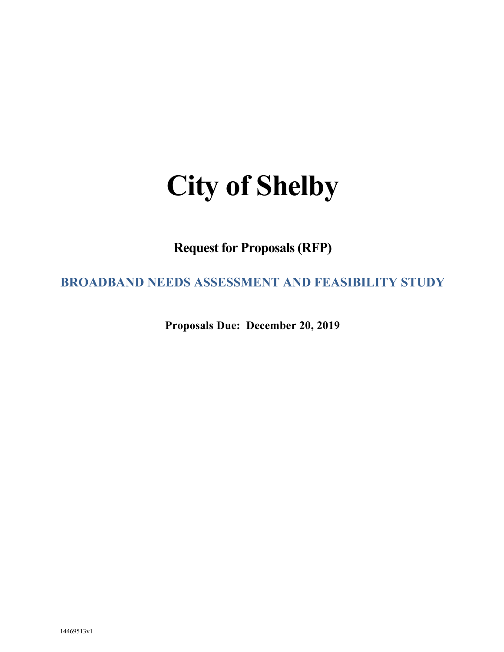# **City of Shelby**

**Request for Proposals (RFP)**

**BROADBAND NEEDS ASSESSMENT AND FEASIBILITY STUDY**

**Proposals Due: December 20, 2019**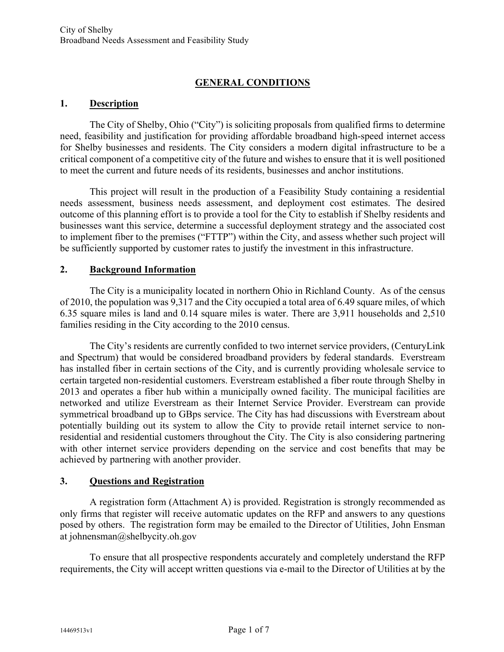# **GENERAL CONDITIONS**

#### **1. Description**

The City of Shelby, Ohio ("City") is soliciting proposals from qualified firms to determine need, feasibility and justification for providing affordable broadband high-speed internet access for Shelby businesses and residents. The City considers a modern digital infrastructure to be a critical component of a competitive city of the future and wishes to ensure that it is well positioned to meet the current and future needs of its residents, businesses and anchor institutions.

This project will result in the production of a Feasibility Study containing a residential needs assessment, business needs assessment, and deployment cost estimates. The desired outcome of this planning effort is to provide a tool for the City to establish if Shelby residents and businesses want this service, determine a successful deployment strategy and the associated cost to implement fiber to the premises ("FTTP") within the City, and assess whether such project will be sufficiently supported by customer rates to justify the investment in this infrastructure.

#### **2. Background Information**

The City is a municipality located in northern Ohio in Richland County. As of the census of 2010, the population was 9,317 and the City occupied a total area of 6.49 square miles, of which 6.35 square miles is land and 0.14 square miles is water. There are 3,911 households and 2,510 families residing in the City according to the 2010 census.

The City's residents are currently confided to two internet service providers, (CenturyLink and Spectrum) that would be considered broadband providers by federal standards. Everstream has installed fiber in certain sections of the City, and is currently providing wholesale service to certain targeted non-residential customers. Everstream established a fiber route through Shelby in 2013 and operates a fiber hub within a municipally owned facility. The municipal facilities are networked and utilize Everstream as their Internet Service Provider. Everstream can provide symmetrical broadband up to GBps service. The City has had discussions with Everstream about potentially building out its system to allow the City to provide retail internet service to nonresidential and residential customers throughout the City. The City is also considering partnering with other internet service providers depending on the service and cost benefits that may be achieved by partnering with another provider.

# **3. Questions and Registration**

A registration form (Attachment A) is provided. Registration is strongly recommended as only firms that register will receive automatic updates on the RFP and answers to any questions posed by others. The registration form may be emailed to the Director of Utilities, John Ensman at johnensman@shelbycity.oh.gov

To ensure that all prospective respondents accurately and completely understand the RFP requirements, the City will accept written questions via e-mail to the Director of Utilities at by the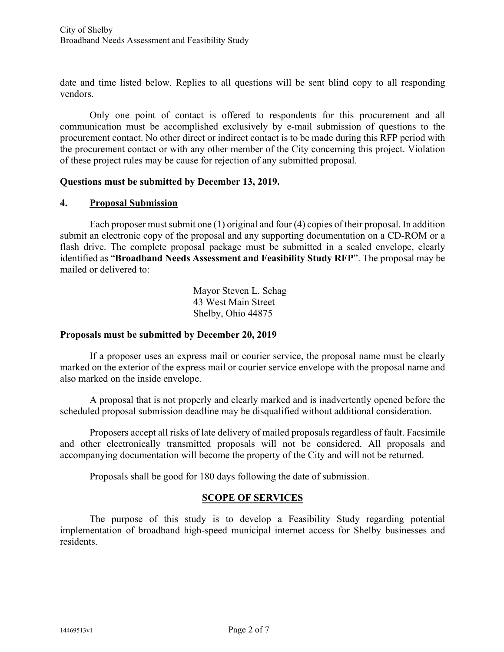date and time listed below. Replies to all questions will be sent blind copy to all responding vendors.

Only one point of contact is offered to respondents for this procurement and all communication must be accomplished exclusively by e-mail submission of questions to the procurement contact. No other direct or indirect contact is to be made during this RFP period with the procurement contact or with any other member of the City concerning this project. Violation of these project rules may be cause for rejection of any submitted proposal.

#### **Questions must be submitted by December 13, 2019.**

#### **4. Proposal Submission**

Each proposer must submit one (1) original and four (4) copies of their proposal. In addition submit an electronic copy of the proposal and any supporting documentation on a CD-ROM or a flash drive. The complete proposal package must be submitted in a sealed envelope, clearly identified as "**Broadband Needs Assessment and Feasibility Study RFP**". The proposal may be mailed or delivered to:

> Mayor Steven L. Schag 43 West Main Street Shelby, Ohio 44875

#### **Proposals must be submitted by December 20, 2019**

If a proposer uses an express mail or courier service, the proposal name must be clearly marked on the exterior of the express mail or courier service envelope with the proposal name and also marked on the inside envelope.

A proposal that is not properly and clearly marked and is inadvertently opened before the scheduled proposal submission deadline may be disqualified without additional consideration.

Proposers accept all risks of late delivery of mailed proposals regardless of fault. Facsimile and other electronically transmitted proposals will not be considered. All proposals and accompanying documentation will become the property of the City and will not be returned.

Proposals shall be good for 180 days following the date of submission.

# **SCOPE OF SERVICES**

The purpose of this study is to develop a Feasibility Study regarding potential implementation of broadband high-speed municipal internet access for Shelby businesses and residents.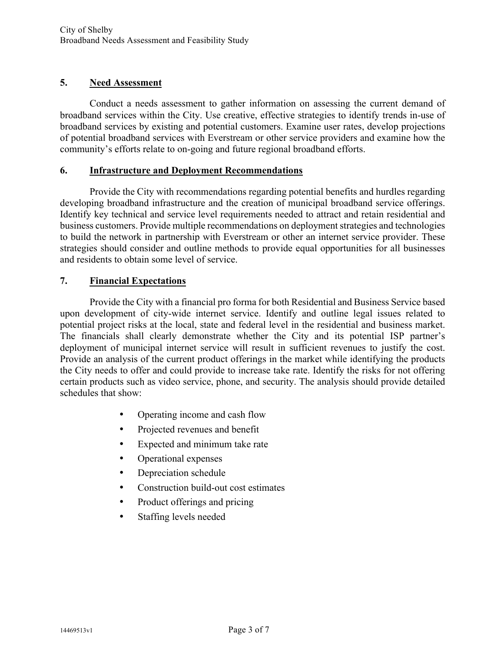# **5. Need Assessment**

Conduct a needs assessment to gather information on assessing the current demand of broadband services within the City. Use creative, effective strategies to identify trends in-use of broadband services by existing and potential customers. Examine user rates, develop projections of potential broadband services with Everstream or other service providers and examine how the community's efforts relate to on-going and future regional broadband efforts.

## **6. Infrastructure and Deployment Recommendations**

Provide the City with recommendations regarding potential benefits and hurdles regarding developing broadband infrastructure and the creation of municipal broadband service offerings. Identify key technical and service level requirements needed to attract and retain residential and business customers. Provide multiple recommendations on deployment strategies and technologies to build the network in partnership with Everstream or other an internet service provider. These strategies should consider and outline methods to provide equal opportunities for all businesses and residents to obtain some level of service.

# **7. Financial Expectations**

Provide the City with a financial pro forma for both Residential and Business Service based upon development of city-wide internet service. Identify and outline legal issues related to potential project risks at the local, state and federal level in the residential and business market. The financials shall clearly demonstrate whether the City and its potential ISP partner's deployment of municipal internet service will result in sufficient revenues to justify the cost. Provide an analysis of the current product offerings in the market while identifying the products the City needs to offer and could provide to increase take rate. Identify the risks for not offering certain products such as video service, phone, and security. The analysis should provide detailed schedules that show:

- Operating income and cash flow
- Projected revenues and benefit
- Expected and minimum take rate
- Operational expenses
- Depreciation schedule
- Construction build-out cost estimates
- Product offerings and pricing
- Staffing levels needed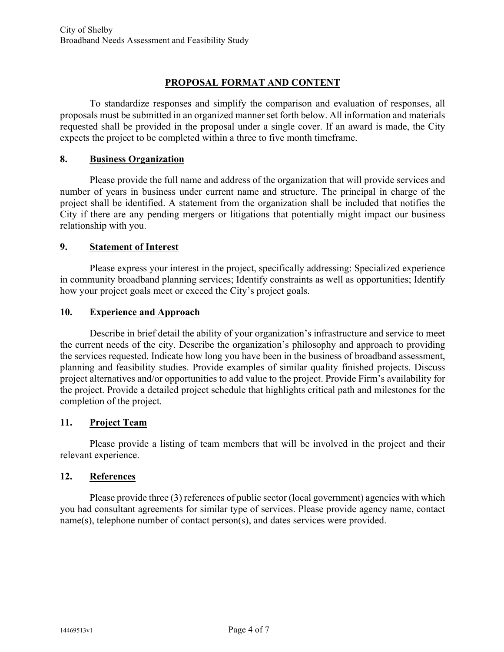# **PROPOSAL FORMAT AND CONTENT**

To standardize responses and simplify the comparison and evaluation of responses, all proposals must be submitted in an organized manner set forth below. All information and materials requested shall be provided in the proposal under a single cover. If an award is made, the City expects the project to be completed within a three to five month timeframe.

#### **8. Business Organization**

Please provide the full name and address of the organization that will provide services and number of years in business under current name and structure. The principal in charge of the project shall be identified. A statement from the organization shall be included that notifies the City if there are any pending mergers or litigations that potentially might impact our business relationship with you.

## **9. Statement of Interest**

Please express your interest in the project, specifically addressing: Specialized experience in community broadband planning services; Identify constraints as well as opportunities; Identify how your project goals meet or exceed the City's project goals.

## **10. Experience and Approach**

Describe in brief detail the ability of your organization's infrastructure and service to meet the current needs of the city. Describe the organization's philosophy and approach to providing the services requested. Indicate how long you have been in the business of broadband assessment, planning and feasibility studies. Provide examples of similar quality finished projects. Discuss project alternatives and/or opportunities to add value to the project. Provide Firm's availability for the project. Provide a detailed project schedule that highlights critical path and milestones for the completion of the project.

# **11. Project Team**

Please provide a listing of team members that will be involved in the project and their relevant experience.

#### **12. References**

Please provide three (3) references of public sector (local government) agencies with which you had consultant agreements for similar type of services. Please provide agency name, contact name(s), telephone number of contact person(s), and dates services were provided.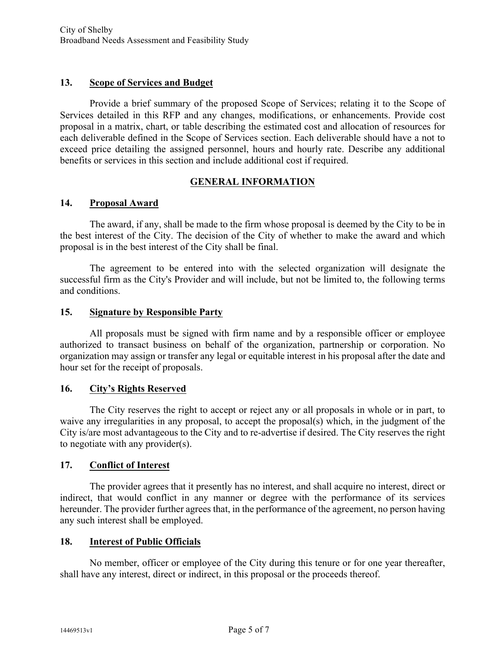## **13. Scope of Services and Budget**

Provide a brief summary of the proposed Scope of Services; relating it to the Scope of Services detailed in this RFP and any changes, modifications, or enhancements. Provide cost proposal in a matrix, chart, or table describing the estimated cost and allocation of resources for each deliverable defined in the Scope of Services section. Each deliverable should have a not to exceed price detailing the assigned personnel, hours and hourly rate. Describe any additional benefits or services in this section and include additional cost if required.

## **GENERAL INFORMATION**

#### **14. Proposal Award**

The award, if any, shall be made to the firm whose proposal is deemed by the City to be in the best interest of the City. The decision of the City of whether to make the award and which proposal is in the best interest of the City shall be final.

The agreement to be entered into with the selected organization will designate the successful firm as the City's Provider and will include, but not be limited to, the following terms and conditions.

## **15. Signature by Responsible Party**

All proposals must be signed with firm name and by a responsible officer or employee authorized to transact business on behalf of the organization, partnership or corporation. No organization may assign or transfer any legal or equitable interest in his proposal after the date and hour set for the receipt of proposals.

#### **16. City's Rights Reserved**

The City reserves the right to accept or reject any or all proposals in whole or in part, to waive any irregularities in any proposal, to accept the proposal(s) which, in the judgment of the City is/are most advantageous to the City and to re-advertise if desired. The City reserves the right to negotiate with any provider(s).

# **17. Conflict of Interest**

The provider agrees that it presently has no interest, and shall acquire no interest, direct or indirect, that would conflict in any manner or degree with the performance of its services hereunder. The provider further agrees that, in the performance of the agreement, no person having any such interest shall be employed.

#### **18. Interest of Public Officials**

No member, officer or employee of the City during this tenure or for one year thereafter, shall have any interest, direct or indirect, in this proposal or the proceeds thereof.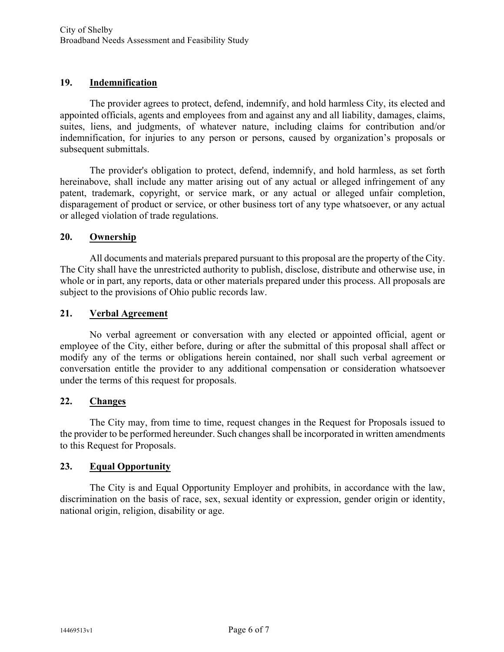## **19. Indemnification**

The provider agrees to protect, defend, indemnify, and hold harmless City, its elected and appointed officials, agents and employees from and against any and all liability, damages, claims, suites, liens, and judgments, of whatever nature, including claims for contribution and/or indemnification, for injuries to any person or persons, caused by organization's proposals or subsequent submittals.

The provider's obligation to protect, defend, indemnify, and hold harmless, as set forth hereinabove, shall include any matter arising out of any actual or alleged infringement of any patent, trademark, copyright, or service mark, or any actual or alleged unfair completion, disparagement of product or service, or other business tort of any type whatsoever, or any actual or alleged violation of trade regulations.

#### **20. Ownership**

All documents and materials prepared pursuant to this proposal are the property of the City. The City shall have the unrestricted authority to publish, disclose, distribute and otherwise use, in whole or in part, any reports, data or other materials prepared under this process. All proposals are subject to the provisions of Ohio public records law.

## **21. Verbal Agreement**

No verbal agreement or conversation with any elected or appointed official, agent or employee of the City, either before, during or after the submittal of this proposal shall affect or modify any of the terms or obligations herein contained, nor shall such verbal agreement or conversation entitle the provider to any additional compensation or consideration whatsoever under the terms of this request for proposals.

#### **22. Changes**

The City may, from time to time, request changes in the Request for Proposals issued to the provider to be performed hereunder. Such changes shall be incorporated in written amendments to this Request for Proposals.

# **23. Equal Opportunity**

The City is and Equal Opportunity Employer and prohibits, in accordance with the law, discrimination on the basis of race, sex, sexual identity or expression, gender origin or identity, national origin, religion, disability or age.